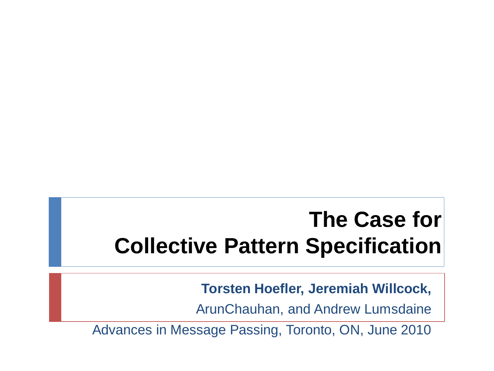### **The Case for Collective Pattern Specification**

**Torsten Hoefler, Jeremiah Willcock,** 

ArunChauhan, and Andrew Lumsdaine

Advances in Message Passing, Toronto, ON, June 2010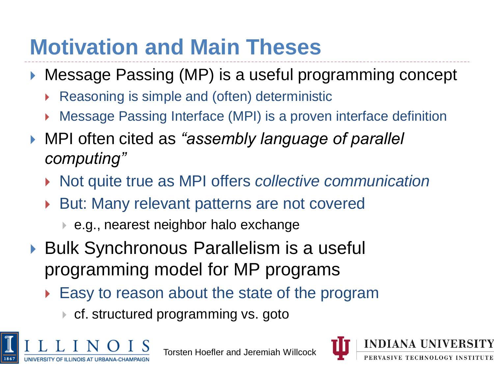## **Motivation and Main Theses**

- ▶ Message Passing (MP) is a useful programming concept
	- Reasoning is simple and (often) deterministic
	- Message Passing Interface (MPI) is a proven interface definition
- MPI often cited as *"assembly language of parallel computing"*
	- Not quite true as MPI offers *collective communication*
	- But: Many relevant patterns are not covered
		- e.g., nearest neighbor halo exchange
- ▶ Bulk Synchronous Parallelism is a useful programming model for MP programs
	- Easy to reason about the state of the program
		- ▶ cf. structured programming vs. goto



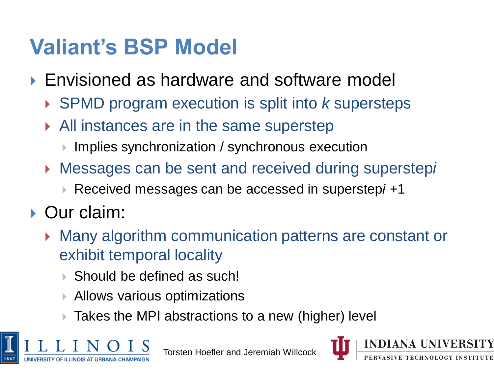# **Valiant's BSP Model**

- ▶ Envisioned as hardware and software model
	- SPMD program execution is split into *k* supersteps
	- All instances are in the same superstep
		- ▶ Implies synchronization / synchronous execution
	- Messages can be sent and received during superstep*i*
		- Received messages can be accessed in superstep*i +*1
- ▶ Our claim:
	- Many algorithm communication patterns are constant or exhibit temporal locality
		- ▶ Should be defined as such!
		- Allows various optimizations
		- Takes the MPI abstractions to a new (higher) level



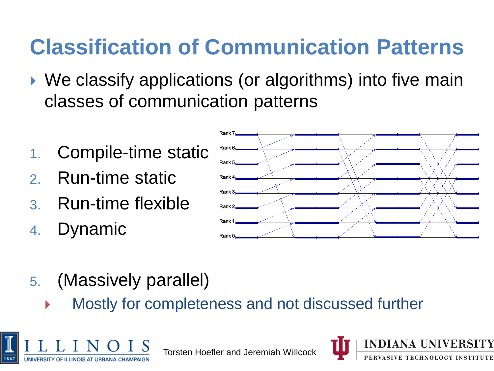# **Classification of Communication Patterns**

- ▶ We classify applications (or algorithms) into five main classes of communication patterns
- 1. Compile-time static
- 2. Run-time static
- 3. Run-time flexible
- 4. Dynamic



- 5. (Massively parallel)
	- Mostly for completeness and not discussed further



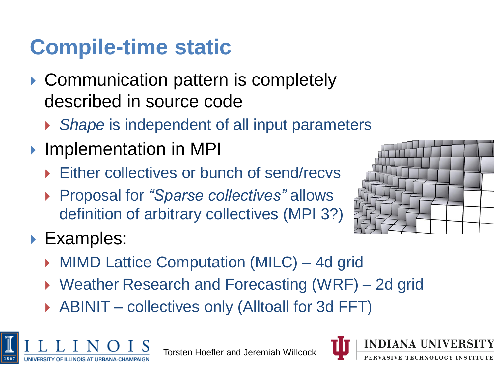# **Compile-time static**

- ▶ Communication pattern is completely described in source code
	- *Shape* is independent of all input parameters
- **Implementation in MPI** 
	- ▶ Either collectives or bunch of send/recvs
	- Proposal for *"Sparse collectives"* allows definition of arbitrary collectives (MPI 3?)



- ▶ Examples:
	- ▶ MIMD Lattice Computation (MILC) 4d grid
	- ▶ Weather Research and Forecasting (WRF) 2d grid
	- ▶ ABINIT collectives only (Alltoall for 3d FFT)



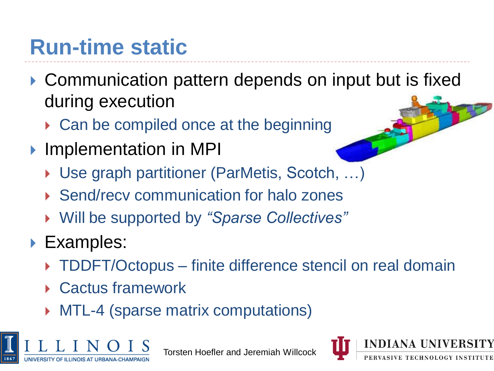### **Run-time static**

- ▶ Communication pattern depends on input but is fixed during execution
	- ▶ Can be compiled once at the beginning
- **Implementation in MPI** 
	- ▶ Use graph partitioner (ParMetis, Scotch, ...)
	- ▶ Send/recv communication for halo zones
	- Will be supported by *"Sparse Collectives"*
- ▶ Examples:
	- ▶ TDDFT/Octopus finite difference stencil on real domain
	- ▶ Cactus framework
	- ▶ MTL-4 (sparse matrix computations)



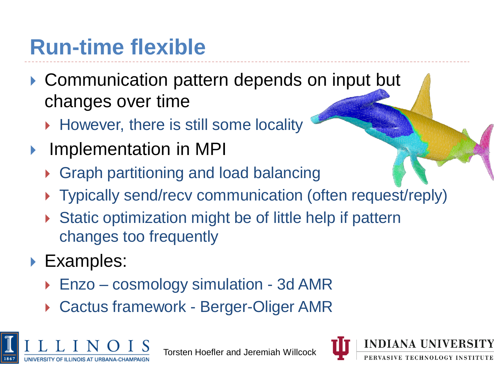### **Run-time flexible**

- ▶ Communication pattern depends on input but changes over time
	- ▶ However, there is still some locality
- Implementation in MPI
	- ▶ Graph partitioning and load balancing
	- ▶ Typically send/recv communication (often request/reply)
	- ▶ Static optimization might be of little help if pattern changes too frequently
- ▶ Examples:
	- Enzo cosmology simulation 3d AMR
	- ▶ Cactus framework Berger-Oliger AMR



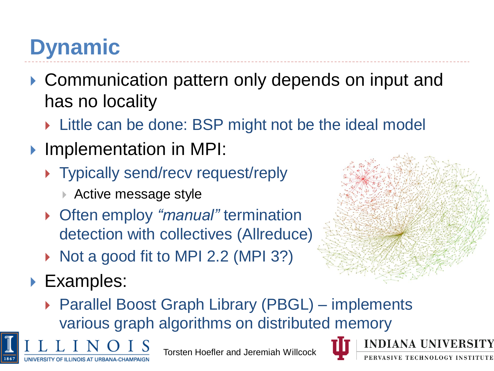# **Dynamic**

- ▶ Communication pattern only depends on input and has no locality
	- **Little can be done: BSP might not be the ideal model**
- **Implementation in MPI:** 
	- ▶ Typically send/recv request/reply
		- ▶ Active message style
	- Often employ *"manual"* termination detection with collectives (Allreduce)
	- $\triangleright$  Not a good fit to MPI 2.2 (MPI 3?)
- ▶ Examples:

**INOIS AT URBANA-CHAM** 



▶ Parallel Boost Graph Library (PBGL) – implements various graph algorithms on distributed memory

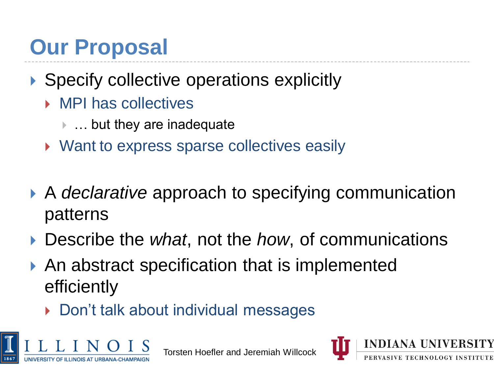### **Our Proposal**

#### ▶ Specify collective operations explicitly

- ▶ MPI has collectives
	- … but they are inadequate
- ▶ Want to express sparse collectives easily
- **A** *declarative* approach to specifying communication patterns
- Describe the *what*, not the *how*, of communications
- ▶ An abstract specification that is implemented efficiently
	- ▶ Don't talk about individual messages



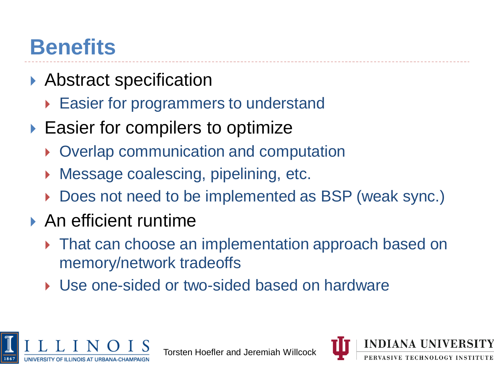### **Benefits**

- ▶ Abstract specification
	- ▶ Easier for programmers to understand
- ▶ Easier for compilers to optimize
	- ▶ Overlap communication and computation
	- Message coalescing, pipelining, etc.
	- Does not need to be implemented as BSP (weak sync.)
- ▶ An efficient runtime
	- **That can choose an implementation approach based on** memory/network tradeoffs
	- ▶ Use one-sided or two-sided based on hardware



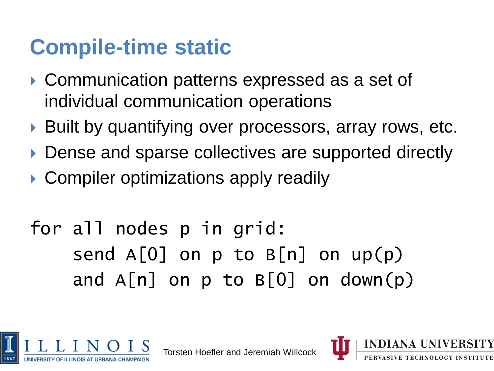### **Compile-time static**

- ▶ Communication patterns expressed as a set of individual communication operations
- ▶ Built by quantifying over processors, array rows, etc.
- ▶ Dense and sparse collectives are supported directly
- ▶ Compiler optimizations apply readily

### for all nodes p in grid: send  $A[0]$  on p to  $B[n]$  on up(p) and  $A[n]$  on p to  $B[0]$  on down(p)



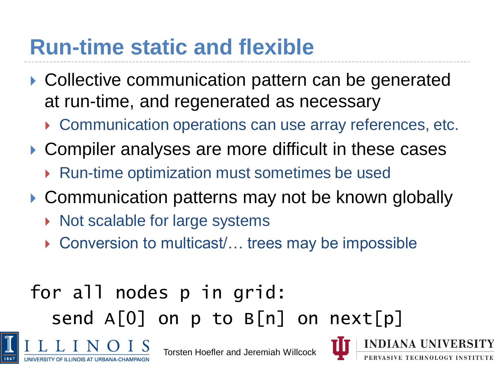### **Run-time static and flexible**

- ▶ Collective communication pattern can be generated at run-time, and regenerated as necessary
	- ▶ Communication operations can use array references, etc.
- ▶ Compiler analyses are more difficult in these cases
	- ▶ Run-time optimization must sometimes be used
- ▶ Communication patterns may not be known globally
	- $\triangleright$  Not scalable for large systems

**LINOIS AT URBANA-CHAN** 

▶ Conversion to multicast/... trees may be impossible

### for all nodes p in grid: send  $A[0]$  on p to  $B[n]$  on next[p]

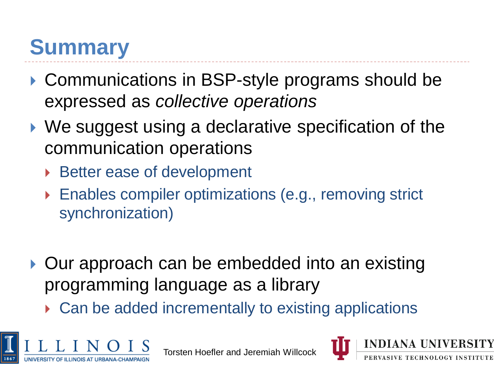# **Summary**

- ▶ Communications in BSP-style programs should be expressed as *collective operations*
- ▶ We suggest using a declarative specification of the communication operations
	- ▶ Better ease of development
	- ▶ Enables compiler optimizations (e.g., removing strict synchronization)
- ▶ Our approach can be embedded into an existing programming language as a library
	- ▶ Can be added incrementally to existing applications